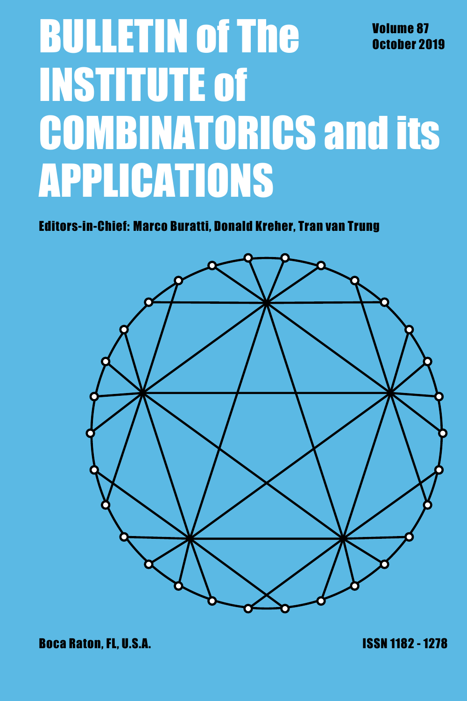# **BULLETIN of The Volume 87**<br>October 20 October 2019 INSTITUTE of COMBINATORICS and its APPLICATIONS

Editors-in-Chief: Marco Buratti, Donald Kreher, Tran van Trung

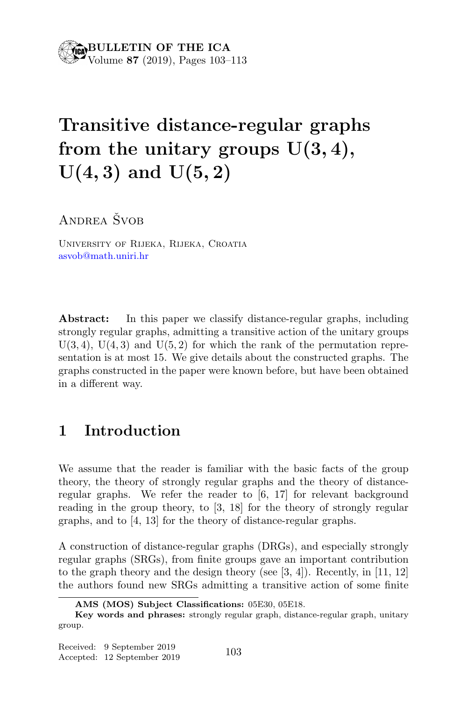# Transitive distance-regular graphs from the unitary groups  $U(3, 4)$ ,  $U(4, 3)$  and  $U(5, 2)$

ANDREA ŠVOB

University of Rijeka, Rijeka, Croatia asvob@math.uniri.hr

Abstract: In this paper we classify distance-regular graphs, including strongly regular graphs, admitting a transitive action of the unitary groups  $U(3, 4)$ ,  $U(4, 3)$  and  $U(5, 2)$  for which the rank of the permutation representation is at most 15. We give details about the constructed graphs. The graphs constructed in the paper were known before, but have been obtained in a different way.

# 1 Introduction

We assume that the reader is familiar with the basic facts of the group theory, the theory of strongly regular graphs and the theory of distanceregular graphs. We refer the reader to [6, 17] for relevant background reading in the group theory, to [3, 18] for the theory of strongly regular graphs, and to [4, 13] for the theory of distance-regular graphs.

A construction of distance-regular graphs (DRGs), and especially strongly regular graphs (SRGs), from finite groups gave an important contribution to the graph theory and the design theory (see  $(3, 4)$ ). Recently, in  $(11, 12)$ the authors found new SRGs admitting a transitive action of some finite

AMS (MOS) Subject Classifications: 05E30, 05E18.

Key words and phrases: strongly regular graph, distance-regular graph, unitary group.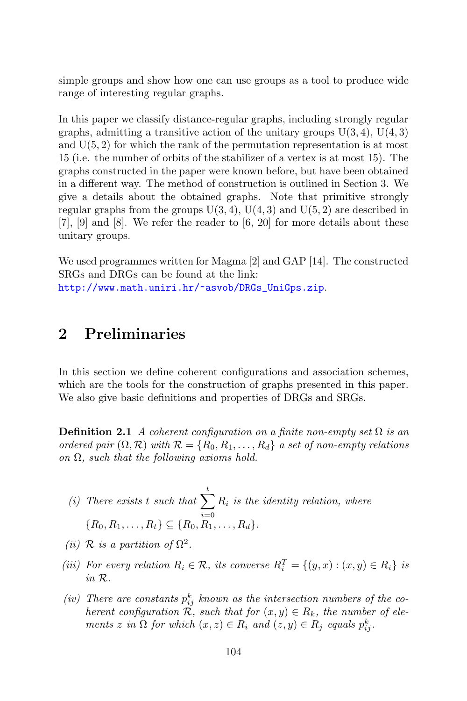simple groups and show how one can use groups as a tool to produce wide range of interesting regular graphs.

In this paper we classify distance-regular graphs, including strongly regular graphs, admitting a transitive action of the unitary groups  $U(3, 4)$ ,  $U(4, 3)$ and  $U(5, 2)$  for which the rank of the permutation representation is at most 15 (i.e. the number of orbits of the stabilizer of a vertex is at most 15). The graphs constructed in the paper were known before, but have been obtained in a different way. The method of construction is outlined in Section 3. We give a details about the obtained graphs. Note that primitive strongly regular graphs from the groups  $U(3, 4)$ ,  $U(4, 3)$  and  $U(5, 2)$  are described in  $[7], [9]$  and  $[8]$ . We refer the reader to  $[6, 20]$  for more details about these unitary groups.

We used programmes written for Magma [2] and GAP [14]. The constructed SRGs and DRGs can be found at the link:

http://www.math.uniri.hr/~asvob/DRGs\_UniGps.zip.

## 2 Preliminaries

In this section we define coherent configurations and association schemes, which are the tools for the construction of graphs presented in this paper. We also give basic definitions and properties of DRGs and SRGs.

**Definition 2.1** A coherent configuration on a finite non-empty set  $\Omega$  is an ordered pair  $(\Omega, \mathcal{R})$  with  $\mathcal{R} = \{R_0, R_1, \ldots, R_d\}$  a set of non-empty relations on  $\Omega$ , such that the following axioms hold.

- (i) There exists t such that  $\sum_{i=1}^{t} R_i$  is the identity relation, where  ${R_0, R_1, \ldots, R_t} \subseteq {R_0, R_1, \ldots, R_d}.$
- (*ii*)  $\mathcal R$  *is a partition of*  $\Omega^2$ .
- (iii) For every relation  $R_i \in \mathcal{R}$ , its converse  $R_i^T = \{(y, x) : (x, y) \in R_i\}$  is in R.
- (iv) There are constants  $p_{ij}^k$  known as the intersection numbers of the coherent configuration  $\tilde{\mathcal{R}}$ , such that for  $(x, y) \in R_k$ , the number of elements z in  $\Omega$  for which  $(x, z) \in R_i$  and  $(z, y) \in R_j$  equals  $p_{ij}^k$ .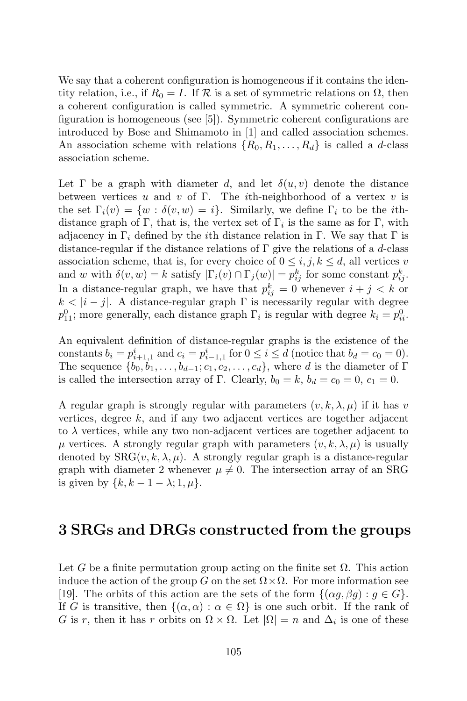We say that a coherent configuration is homogeneous if it contains the identity relation, i.e., if  $R_0 = I$ . If  $\mathcal R$  is a set of symmetric relations on  $\Omega$ , then a coherent configuration is called symmetric. A symmetric coherent configuration is homogeneous (see [5]). Symmetric coherent configurations are introduced by Bose and Shimamoto in [1] and called association schemes. An association scheme with relations  $\{R_0, R_1, \ldots, R_d\}$  is called a d-class association scheme.

Let  $\Gamma$  be a graph with diameter d, and let  $\delta(u, v)$  denote the distance between vertices u and v of  $\Gamma$ . The *i*th-neighborhood of a vertex v is the set  $\Gamma_i(v) = \{w : \delta(v, w) = i\}$ . Similarly, we define  $\Gamma_i$  to be the *i*thdistance graph of  $\Gamma$ , that is, the vertex set of  $\Gamma_i$  is the same as for  $\Gamma$ , with adjacency in  $\Gamma_i$  defined by the *i*th distance relation in Γ. We say that Γ is distance-regular if the distance relations of  $\Gamma$  give the relations of a d-class association scheme, that is, for every choice of  $0 \leq i, j, k \leq d$ , all vertices v and w with  $\delta(v, w) = k$  satisfy  $|\Gamma_i(v) \cap \Gamma_j(w)| = p_{ij}^k$  for some constant  $p_{ij}^k$ . In a distance-regular graph, we have that  $p_{ij}^k = 0$  whenever  $i + j < k$  or  $k < |i - j|$ . A distance-regular graph  $\Gamma$  is necessarily regular with degree  $p_{11}^0$ ; more generally, each distance graph  $\Gamma_i$  is regular with degree  $k_i = p_{ii}^0$ .

An equivalent definition of distance-regular graphs is the existence of the constants  $b_i = p_{i+1,1}^i$  and  $c_i = p_{i-1,1}^i$  for  $0 \le i \le d$  (notice that  $b_d = c_0 = 0$ ). The sequence  $\{b_0, b_1, \ldots, b_{d-1}; c_1, c_2, \ldots, c_d\}$ , where d is the diameter of Γ is called the intersection array of Γ. Clearly,  $b_0 = k$ ,  $b_d = c_0 = 0$ ,  $c_1 = 0$ .

A regular graph is strongly regular with parameters  $(v, k, \lambda, \mu)$  if it has v vertices, degree k, and if any two adjacent vertices are together adjacent to  $\lambda$  vertices, while any two non-adjacent vertices are together adjacent to  $\mu$  vertices. A strongly regular graph with parameters  $(v, k, \lambda, \mu)$  is usually denoted by  $SRG(v, k, \lambda, \mu)$ . A strongly regular graph is a distance-regular graph with diameter 2 whenever  $\mu \neq 0$ . The intersection array of an SRG is given by  $\{k, k-1-\lambda; 1, \mu\}.$ 

### 3 SRGs and DRGs constructed from the groups

Let G be a finite permutation group acting on the finite set  $\Omega$ . This action induce the action of the group G on the set  $\Omega \times \Omega$ . For more information see [19]. The orbits of this action are the sets of the form  $\{( \alpha g, \beta g) : g \in G \}.$ If G is transitive, then  $\{(\alpha,\alpha): \alpha \in \Omega\}$  is one such orbit. If the rank of G is r, then it has r orbits on  $\Omega \times \Omega$ . Let  $|\Omega| = n$  and  $\Delta_i$  is one of these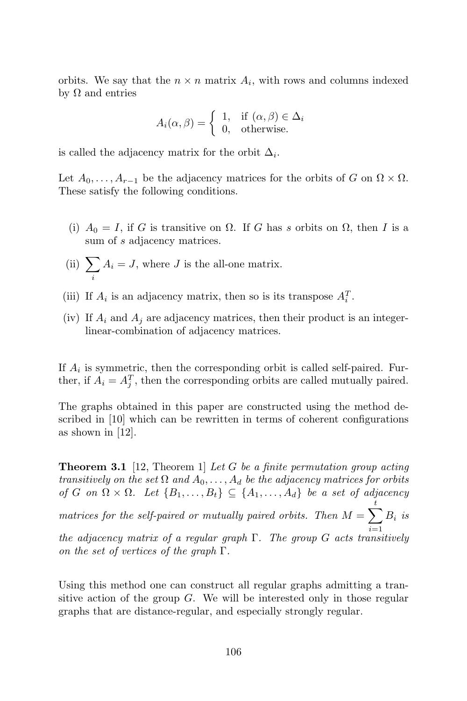orbits. We say that the  $n \times n$  matrix  $A_i$ , with rows and columns indexed by Ω and entries

$$
A_i(\alpha, \beta) = \begin{cases} 1, & \text{if } (\alpha, \beta) \in \Delta_i \\ 0, & \text{otherwise.} \end{cases}
$$

is called the adjacency matrix for the orbit  $\Delta_i$ .

Let  $A_0, \ldots, A_{r-1}$  be the adjacency matrices for the orbits of G on  $\Omega \times \Omega$ . These satisfy the following conditions.

- (i)  $A_0 = I$ , if G is transitive on  $\Omega$ . If G has s orbits on  $\Omega$ , then I is a sum of s adjacency matrices.
- (ii)  $\Sigma$ i  $A_i = J$ , where J is the all-one matrix.
- (iii) If  $A_i$  is an adjacency matrix, then so is its transpose  $A_i^T$ .
- (iv) If  $A_i$  and  $A_j$  are adjacency matrices, then their product is an integerlinear-combination of adjacency matrices.

If  $A_i$  is symmetric, then the corresponding orbit is called self-paired. Further, if  $A_i = A_j^T$ , then the corresponding orbits are called mutually paired.

The graphs obtained in this paper are constructed using the method described in [10] which can be rewritten in terms of coherent configurations as shown in [12].

**Theorem 3.1** [12, Theorem 1] Let G be a finite permutation group acting transitively on the set  $\Omega$  and  $A_0, \ldots, A_d$  be the adjacency matrices for orbits of G on  $\Omega \times \Omega$ . Let  $\{B_1, \ldots, B_t\} \subseteq \{A_1, \ldots, A_d\}$  be a set of adjacency matrices for the self-paired or mutually paired orbits. Then  $M = \sum_{i=1}^{t} B_i$  is  $i=1$ the adjacency matrix of a regular graph  $\Gamma$ . The group G acts transitively on the set of vertices of the graph  $\Gamma$ .

Using this method one can construct all regular graphs admitting a transitive action of the group  $G$ . We will be interested only in those regular graphs that are distance-regular, and especially strongly regular.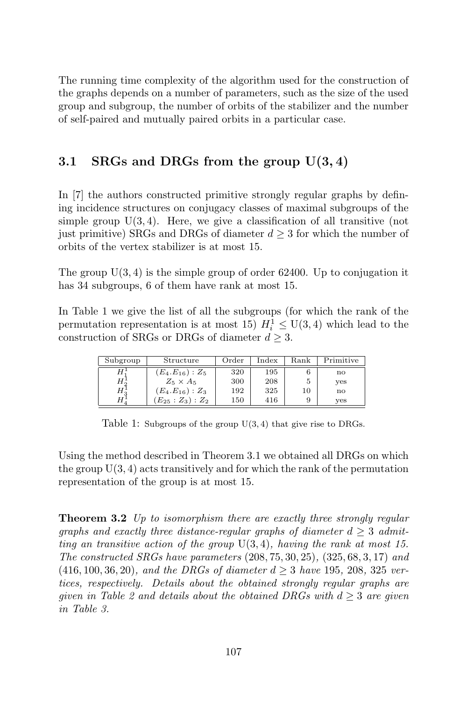The running time complexity of the algorithm used for the construction of the graphs depends on a number of parameters, such as the size of the used group and subgroup, the number of orbits of the stabilizer and the number of self-paired and mutually paired orbits in a particular case.

#### 3.1 SRGs and DRGs from the group  $U(3, 4)$

In [7] the authors constructed primitive strongly regular graphs by defining incidence structures on conjugacy classes of maximal subgroups of the simple group  $U(3, 4)$ . Here, we give a classification of all transitive (not just primitive) SRGs and DRGs of diameter  $d \geq 3$  for which the number of orbits of the vertex stabilizer is at most 15.

The group  $U(3, 4)$  is the simple group of order 62400. Up to conjugation it has 34 subgroups, 6 of them have rank at most 15.

In Table 1 we give the list of all the subgroups (for which the rank of the permutation representation is at most 15)  $H_i^1 \leq U(3, 4)$  which lead to the construction of SRGs or DRGs of diameter  $d \geq 3$ .

| Subgroup      | Structure          | Order | Index | Rank | Primitive    |
|---------------|--------------------|-------|-------|------|--------------|
|               | $(E_4.E_{16}):Z_5$ | 320   | 195   |      | no           |
| Η.            | $Z_5 \times A_5$   | 300   | 208   |      | yes          |
| $H_2^{\perp}$ | $(E_4.E_{16}):Z_3$ | 192   | 325   | 10   | $\mathbf{n}$ |
|               | $(E_{25}:Z_3):Z_2$ | 150   | 416   |      | yes          |

Table 1: Subgroups of the group U(3, 4) that give rise to DRGs.

Using the method described in Theorem 3.1 we obtained all DRGs on which the group  $U(3, 4)$  acts transitively and for which the rank of the permutation representation of the group is at most 15.

**Theorem 3.2** Up to isomorphism there are exactly three strongly regular graphs and exactly three distance-regular graphs of diameter  $d > 3$  admitting an transitive action of the group  $U(3, 4)$ , having the rank at most 15. The constructed SRGs have parameters  $(208, 75, 30, 25)$ ,  $(325, 68, 3, 17)$  and  $(416, 100, 36, 20)$ , and the DRGs of diameter  $d \geq 3$  have 195, 208, 325 vertices, respectively. Details about the obtained strongly regular graphs are given in Table 2 and details about the obtained DRGs with  $d \geq 3$  are given in Table 3.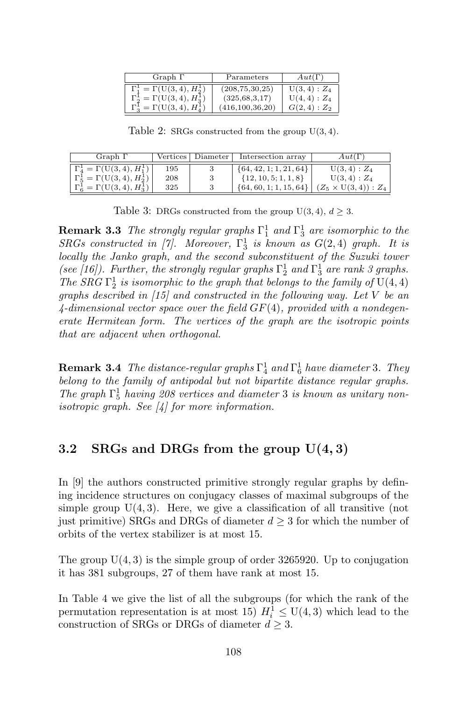| Graph $\Gamma$                                                 | Parameters         | $Aut(\Gamma)$ |
|----------------------------------------------------------------|--------------------|---------------|
| $\Gamma_1^1 = \Gamma(U(3, 4), H_2^1)$                          | (208, 75, 30, 25)  | $U(3,4): Z_4$ |
| $\Gamma_2^{\text{I}} = \Gamma(\text{U}(3, 4), H_2^{\text{I}})$ | (325, 68, 3, 17)   | $U(4,4): Z_4$ |
| $\Gamma_3^1 = \Gamma(\text{U}(3,4), H_4^1)$                    | (416, 100, 36, 20) | $G(2,4):Z_2$  |

Table 2: SRGs constructed from the group U(3, 4).

| Graph $\Gamma$                                            |     | Vertices   Diameter | Intersection array         | $Aut(\Gamma)$               |
|-----------------------------------------------------------|-----|---------------------|----------------------------|-----------------------------|
| $\Gamma_4^1 = \Gamma(U(3, 4), H_1^1)$                     | 195 |                     | $\{64, 42, 1; 1, 21, 64\}$ | $U(3,4): Z_4$               |
| $\Gamma_5^1 = \Gamma(\text{U}(3, 4), H_2^1)$              | 208 |                     | $\{12, 10, 5; 1, 1, 8\}$   | $U(3,4):Z_4$                |
| $\Gamma^1_{\mathcal{B}} = \Gamma(\mathbf{U}(3,4), H_3^1)$ | 325 |                     | $\{64, 60, 1; 1, 15, 64\}$ | $(Z_5 \times U(3,4)) : Z_4$ |

Table 3: DRGs constructed from the group  $U(3, 4)$ ,  $d \geq 3$ .

**Remark 3.3** The strongly regular graphs  $\Gamma_1^1$  and  $\Gamma_3^1$  are isomorphic to the  $SRGs$  constructed in [7]. Moreover,  $\Gamma_3^1$  is known as  $G(2,4)$  graph. It is locally the Janko graph, and the second subconstituent of the Suzuki tower (see [16]). Further, the strongly regular graphs  $\Gamma_2^1$  and  $\Gamma_3^1$  are rank 3 graphs. The SRG  $\Gamma_2^1$  is isomorphic to the graph that belongs to the family of U(4, 4) graphs described in [15] and constructed in the following way. Let V be an  $4$ -dimensional vector space over the field  $GF(4)$ , provided with a nondegenerate Hermitean form. The vertices of the graph are the isotropic points that are adjacent when orthogonal.

**Remark 3.4** The distance-regular graphs  $\Gamma_4^1$  and  $\Gamma_6^1$  have diameter 3. They belong to the family of antipodal but not bipartite distance regular graphs. The graph  $\Gamma_5^1$  having 208 vertices and diameter 3 is known as unitary nonisotropic graph. See [4] for more information.

#### 3.2 SRGs and DRGs from the group  $U(4,3)$

In [9] the authors constructed primitive strongly regular graphs by defining incidence structures on conjugacy classes of maximal subgroups of the simple group  $U(4, 3)$ . Here, we give a classification of all transitive (not just primitive) SRGs and DRGs of diameter  $d \geq 3$  for which the number of orbits of the vertex stabilizer is at most 15.

The group  $U(4, 3)$  is the simple group of order 3265920. Up to conjugation it has 381 subgroups, 27 of them have rank at most 15.

In Table 4 we give the list of all the subgroups (for which the rank of the permutation representation is at most 15)  $H_i^1 \leq U(4,3)$  which lead to the construction of SRGs or DRGs of diameter  $d \geq 3$ .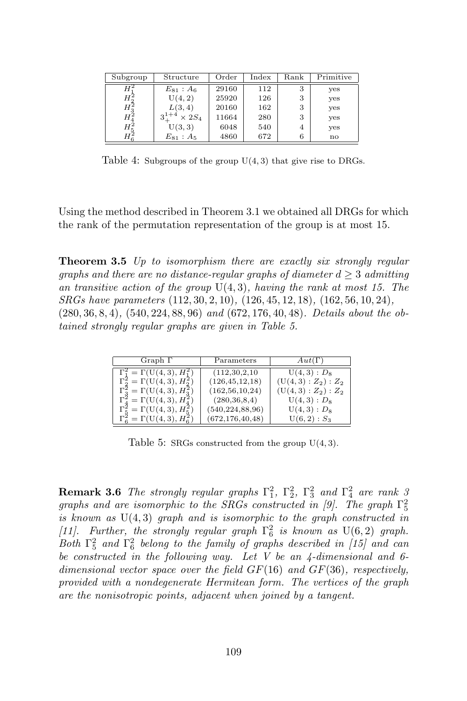| Subgroup       | Structure        | Order | Index | Rank           | Primitive |
|----------------|------------------|-------|-------|----------------|-----------|
| Н              | $E_{81}$ : $A_6$ | 29160 | 112   | 3              | yes       |
| $H^2_{\alpha}$ | U(4, 2)          | 25920 | 126   | 3              | yes       |
| $H_2^2$        | L(3,4)           | 20160 | 162   | 3              | yes       |
| $H_4^2$        | $\times 2S_4$    | 11664 | 280   | 3              | yes       |
| $H^2_{5}$      | U(3, 3)          | 6048  | 540   | $\overline{A}$ | yes       |
| Ηž             | $E_{81}:A_5$     | 4860  | 672   | 6              | no        |

Table 4: Subgroups of the group U(4, 3) that give rise to DRGs.

Using the method described in Theorem 3.1 we obtained all DRGs for which the rank of the permutation representation of the group is at most 15.

**Theorem 3.5** Up to isomorphism there are exactly six strongly regular graphs and there are no distance-regular graphs of diameter  $d \geq 3$  admitting an transitive action of the group  $U(4,3)$ , having the rank at most 15. The SRGs have parameters (112, 30, 2, 10), (126, 45, 12, 18), (162, 56, 10, 24), (280, 36, 8, 4), (540, 224, 88, 96) and (672, 176, 40, 48). Details about the obtained strongly regular graphs are given in Table 5.

| Graph $\Gamma$                                   | Parameters         | $Aut(\Gamma)$      |
|--------------------------------------------------|--------------------|--------------------|
| $\Gamma_1^2 = \Gamma(U(4,3), H_1^2)$             | (112, 30, 2, 10)   | $U(4,3): D_8$      |
| $\Gamma_2^2 = \Gamma(U(4,3), H_2^2)$             | (126, 45, 12, 18)  | $(U(4,3):Z_2):Z_2$ |
| $\Gamma_3^2 = \Gamma(U(4,3), H_3^2)$             | (162, 56, 10, 24)  | $(U(4,3):Z_2):Z_2$ |
| $\Gamma_4^2 = \Gamma(U(4,3), H_4^2)$             | (280, 36, 8, 4)    | $U(4,3): D_8$      |
| $\Gamma_5^2 = \Gamma(U(4,3), H_5^2)$             | (540, 224, 88, 96) | $U(4,3): D_8$      |
| $\Gamma_6^2 = \Gamma(\mathop{\rm U}(4,3),H_6^2)$ | (672, 176, 40, 48) | $U(6,2): S_3$      |

Table 5: SRGs constructed from the group  $U(4,3)$ .

**Remark 3.6** The strongly regular graphs  $\Gamma_1^2$ ,  $\Gamma_2^2$ ,  $\Gamma_3^2$  and  $\Gamma_4^2$  are rank 3 graphs and are isomorphic to the SRGs constructed in [9]. The graph  $\Gamma_5^2$ is known as  $U(4,3)$  graph and is isomorphic to the graph constructed in [11]. Further, the strongly regular graph  $\Gamma_6^2$  is known as  $U(6,2)$  graph. Both  $\Gamma_5^2$  and  $\Gamma_6^2$  belong to the family of graphs described in [15] and can be constructed in the following way. Let V be an  $\ddot{4}$ -dimensional and 6dimensional vector space over the field  $GF(16)$  and  $GF(36)$ , respectively, provided with a nondegenerate Hermitean form. The vertices of the graph are the nonisotropic points, adjacent when joined by a tangent.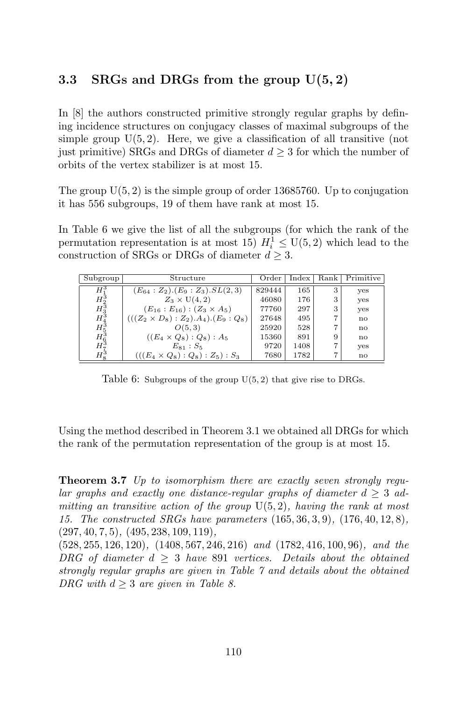#### 3.3 SRGs and DRGs from the group  $U(5, 2)$

In [8] the authors constructed primitive strongly regular graphs by defining incidence structures on conjugacy classes of maximal subgroups of the simple group  $U(5, 2)$ . Here, we give a classification of all transitive (not just primitive) SRGs and DRGs of diameter  $d \geq 3$  for which the number of orbits of the vertex stabilizer is at most 15.

The group  $U(5, 2)$  is the simple group of order 13685760. Up to conjugation it has 556 subgroups, 19 of them have rank at most 15.

In Table 6 we give the list of all the subgroups (for which the rank of the permutation representation is at most 15)  $H_i^1 \le U(5, 2)$  which lead to the construction of SRGs or DRGs of diameter  $d \geq 3$ .

| Subgroup                         | Structure                                     | Order  | Index | Rank | Primitive    |
|----------------------------------|-----------------------------------------------|--------|-------|------|--------------|
|                                  |                                               |        |       |      |              |
| $H^3$                            | $(E_{64}:Z_2)$ . $(E_9:Z_3)$ . $SL(2,3)$      | 829444 | 165   |      | yes          |
|                                  | $Z_3 \times U(4,2)$                           | 46080  | 176   | з    | yes          |
|                                  | $(E_{16}:E_{16})$ : $(Z_3\times A_5)$         | 77760  | 297   | з    | yes          |
| $H_2^3H_3^3H_4^4H_5^3H_6^3H_7^3$ | $(((Z_2 \times D_8) : Z_2).A_4). (E_9 : Q_8)$ | 27648  | 495   |      | $\mathbf{n}$ |
|                                  | O(5,3)                                        | 25920  | 528   |      | $\mathbf{n}$ |
|                                  | $((E_4 \times Q_8) : Q_8) : A_5$              | 15360  | 891   | 9    | $\mathbf{n}$ |
|                                  | $E_{81}$ : $S_5$                              | 9720   | 1408  |      | yes          |
| $H^3_\circ$                      | $(((E_4 \times Q_8) : Q_8) : Z_5) : S_3$      | 7680   | 1782  |      | $\mathbf{n}$ |

Table 6: Subgroups of the group  $U(5, 2)$  that give rise to DRGs.

Using the method described in Theorem 3.1 we obtained all DRGs for which the rank of the permutation representation of the group is at most 15.

**Theorem 3.7** Up to isomorphism there are exactly seven strongly reqular graphs and exactly one distance-regular graphs of diameter  $d \geq 3$  admitting an transitive action of the group  $U(5, 2)$ , having the rank at most 15. The constructed SRGs have parameters (165, 36, 3, 9), (176, 40, 12, 8), (297, 40, 7, 5), (495, 238, 109, 119),

(528, 255, 126, 120), (1408, 567, 246, 216) and (1782, 416, 100, 96), and the DRG of diameter  $d \geq 3$  have 891 vertices. Details about the obtained strongly regular graphs are given in Table 7 and details about the obtained DRG with  $d \geq 3$  are given in Table 8.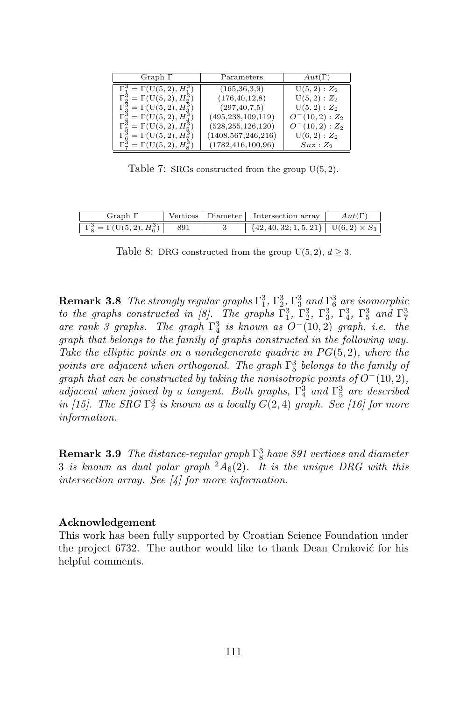| Graph $\Gamma$                        | Parameters            | $Aut(\Gamma)$   |
|---------------------------------------|-----------------------|-----------------|
| $\Gamma_1^3 = \Gamma(U(5, 2), H_1^3)$ | (165, 36, 3, 9)       | $U(5, 2): Z_2$  |
| $\Gamma_2^3 = \Gamma(U(5, 2), H_2^3)$ | (176, 40, 12, 8)      | $U(5, 2) : Z_2$ |
| $\Gamma_3^3 = \Gamma(U(5, 2), H_3^3)$ | (297, 40, 7, 5)       | $U(5, 2) : Z_2$ |
| $\Gamma_4^3 = \Gamma(U(5, 2), H_4^3)$ | (495, 238, 109, 119)  | $O^-(10,2):Z_2$ |
| $\Gamma_5^3 = \Gamma(U(5, 2), H_5^3)$ | (528, 255, 126, 120)  | $O^-(10,2):Z_2$ |
| $\Gamma_6^3 = \Gamma(U(5, 2), H_7^3)$ | (1408, 567, 246, 216) | $U(6, 2): Z_2$  |
| $\Gamma_7^3 = \Gamma(U(5,2), H_8^3)$  | (1782, 416, 100, 96)  | $Suz:Z_2$       |

Table 7: SRGs constructed from the group  $U(5, 2)$ .

| $\frac{1}{2}$ raph <sup>1</sup>      | Vertices | Diameter | Intersection array                                    |  |
|--------------------------------------|----------|----------|-------------------------------------------------------|--|
| $\Gamma_s^3 = \Gamma(U(5,2), H_s^3)$ | 891      |          | $\{42, 40, 32; 1, 5, 21\}$ $\cup$ $(6, 2) \times S_3$ |  |

Table 8: DRG constructed from the group  $U(5, 2), d \geq 3$ .

**Remark 3.8** The strongly regular graphs  $\Gamma_1^3$ ,  $\Gamma_2^3$ ,  $\Gamma_3^3$  and  $\Gamma_6^3$  are isomorphic to the graphs constructed in [8]. The graphs  $\Gamma_1^3$ ,  $\Gamma_2^3$ ,  $\Gamma_3^3$ ,  $\Gamma_4^3$ ,  $\Gamma_5^3$  and  $\Gamma_7^3$ are rank 3 graphs. The graph  $\Gamma_4^3$  is known as  $O^-(10, 2)$  graph, i.e. the graph that belongs to the family of graphs constructed in the following way. Take the elliptic points on a nondegenerate quadric in  $PG(5, 2)$ , where the points are adjacent when orthogonal. The graph  $\Gamma_5^3$  belongs to the family of graph that can be constructed by taking the nonisotropic points of  $O^-(10, 2)$ , adjacent when joined by a tangent. Both graphs,  $\Gamma_4^3$  and  $\Gamma_5^3$  are described in [15]. The SRG  $\Gamma_7^3$  is known as a locally  $G(2,4)$  graph. See [16] for more information.

**Remark 3.9** The distance-regular graph  $\Gamma_8^3$  have 891 vertices and diameter 3 is known as dual polar graph  ${}^2A_6(2)$ . It is the unique DRG with this intersection array. See [4] for more information.

#### Acknowledgement

This work has been fully supported by Croatian Science Foundation under the project  $6732$ . The author would like to thank Dean Crnković for his helpful comments.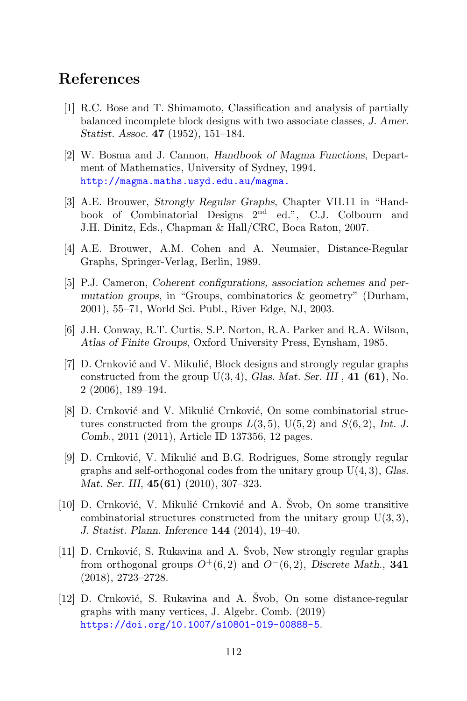#### References

- [1] R.C. Bose and T. Shimamoto, Classification and analysis of partially balanced incomplete block designs with two associate classes, J. Amer. Statist. Assoc. 47 (1952), 151–184.
- [2] W. Bosma and J. Cannon, Handbook of Magma Functions, Department of Mathematics, University of Sydney, 1994. http://magma.maths.usyd.edu.au/magma.
- [3] A.E. Brouwer, Strongly Regular Graphs, Chapter VII.11 in "Handbook of Combinatorial Designs 2nd ed.", C.J. Colbourn and J.H. Dinitz, Eds., Chapman & Hall/CRC, Boca Raton, 2007.
- [4] A.E. Brouwer, A.M. Cohen and A. Neumaier, Distance-Regular Graphs, Springer-Verlag, Berlin, 1989.
- [5] P.J. Cameron, Coherent configurations, association schemes and permutation groups, in "Groups, combinatorics & geometry" (Durham, 2001), 55–71, World Sci. Publ., River Edge, NJ, 2003.
- [6] J.H. Conway, R.T. Curtis, S.P. Norton, R.A. Parker and R.A. Wilson, Atlas of Finite Groups, Oxford University Press, Eynsham, 1985.
- [7] D. Crnković and V. Mikulić, Block designs and strongly regular graphs constructed from the group  $U(3, 4)$ , Glas. Mat. Ser. III, 41 (61), No. 2 (2006), 189–194.
- $[8]$  D. Crnković and V. Mikulić Crnković, On some combinatorial structures constructed from the groups  $L(3,5)$ ,  $U(5,2)$  and  $S(6,2)$ , Int. J. Comb., 2011 (2011), Article ID 137356, 12 pages.
- [9] D. Crnković, V. Mikulić and B.G. Rodrigues, Some strongly regular graphs and self-orthogonal codes from the unitary group  $U(4,3)$ , Glas. Mat. Ser. III, **45(61)** (2010), 307-323.
- [10] D. Crnković, V. Mikulić Crnković and A. Svob, On some transitive combinatorial structures constructed from the unitary group  $U(3,3)$ , J. Statist. Plann. Inference 144 (2014), 19–40.
- [11] D. Crnković, S. Rukavina and A. Švob, New strongly regular graphs from orthogonal groups  $O^+(6, 2)$  and  $O^-(6, 2)$ , Discrete Math., 341 (2018), 2723–2728.
- $[12]$  D. Crnković, S. Rukavina and A. Švob, On some distance-regular graphs with many vertices, J. Algebr. Comb. (2019) https://doi.org/10.1007/s10801-019-00888-5.